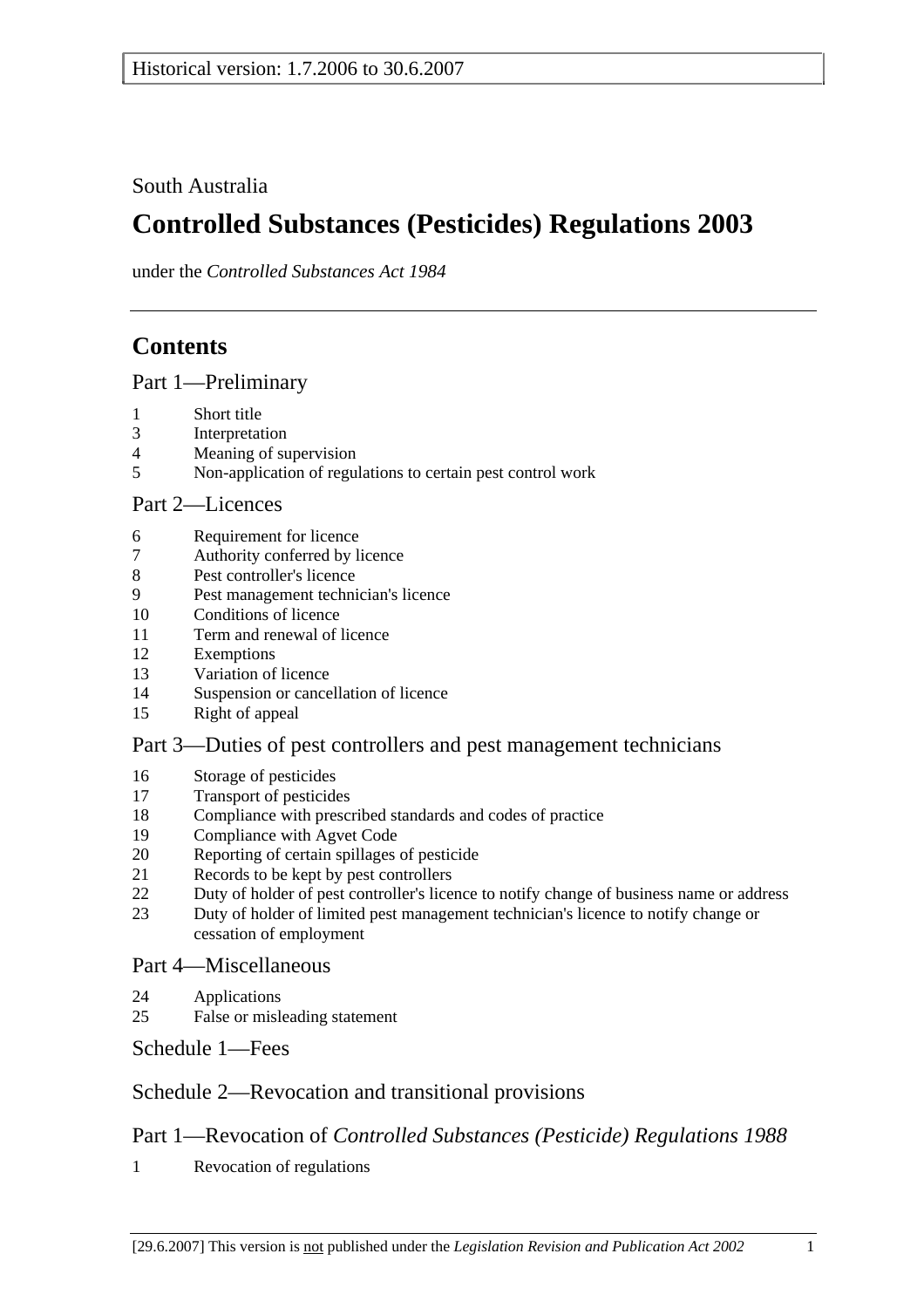South Australia

# **Controlled Substances (Pesticides) Regulations 2003**

under the *Controlled Substances Act 1984*

# **Contents**

Part 1—Preliminary

- 1 Short title
- 3 Interpretation
- 4 Meaning of supervision
- 5 Non-application of regulations to certain pest control work

#### Part 2—Licences

- 6 Requirement for licence
- 7 Authority conferred by licence
- 8 Pest controller's licence
- 9 Pest management technician's licence
- 10 Conditions of licence
- 11 Term and renewal of licence
- 12 Exemptions
- 13 Variation of licence
- 14 Suspension or cancellation of licence
- 15 Right of appeal

#### Part 3—Duties of pest controllers and pest management technicians

- 16 Storage of pesticides
- 17 Transport of pesticides
- 18 Compliance with prescribed standards and codes of practice
- 19 Compliance with Agvet Code
- 20 Reporting of certain spillages of pesticide
- 21 Records to be kept by pest controllers
- 22 Duty of holder of pest controller's licence to notify change of business name or address
- 23 Duty of holder of limited pest management technician's licence to notify change or cessation of employment

#### Part 4—Miscellaneous

- 24 Applications
- 25 False or misleading statement

Schedule 1—Fees

## Schedule 2—Revocation and transitional provisions

## Part 1—Revocation of *Controlled Substances (Pesticide) Regulations 1988*

1 Revocation of regulations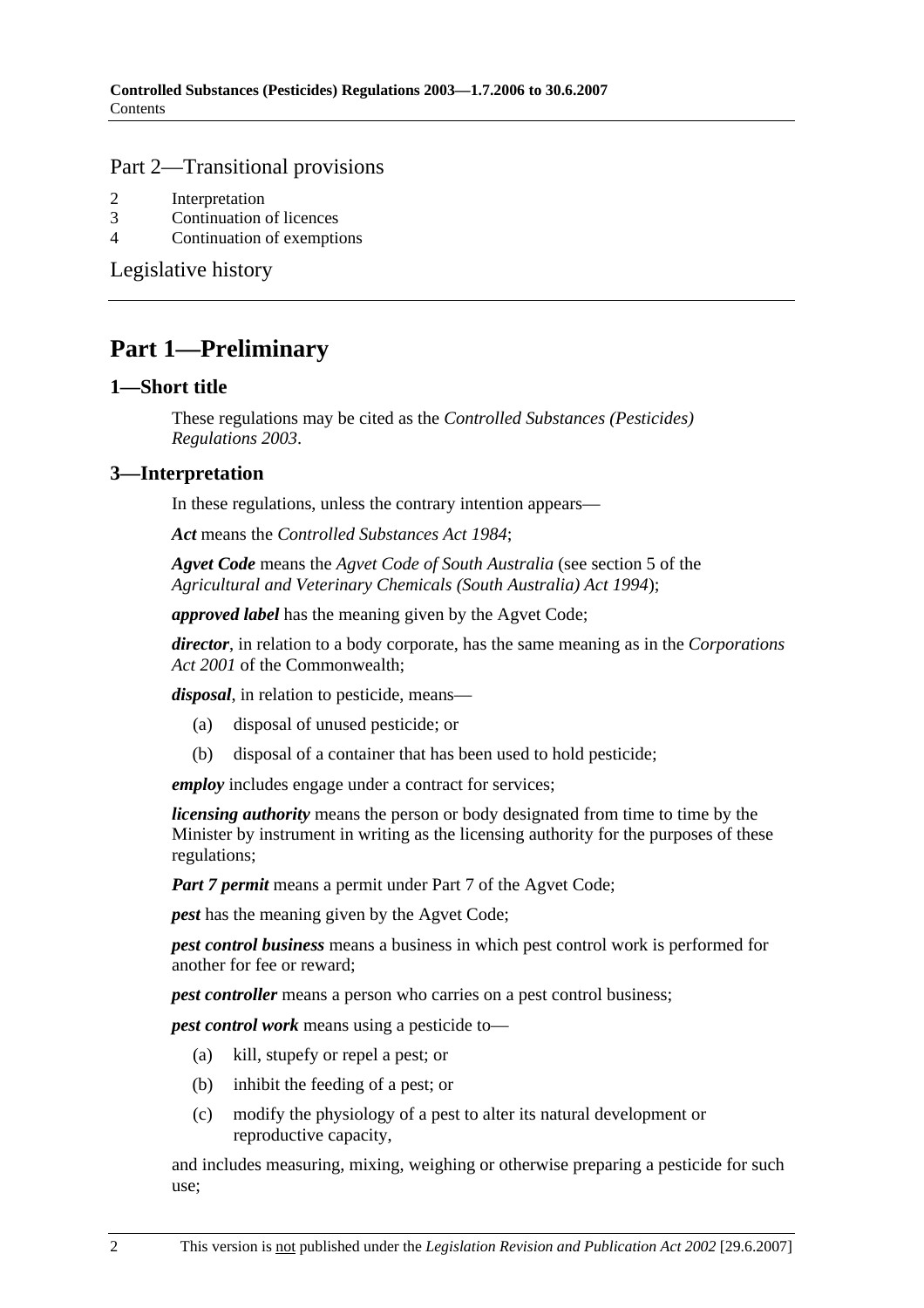#### Part 2—Transitional provisions

- 2 Interpretation
- 3 Continuation of licences
- 4 Continuation of exemptions

Legislative history

## **Part 1—Preliminary**

#### **1—Short title**

These regulations may be cited as the *Controlled Substances (Pesticides) Regulations 2003*.

#### **3—Interpretation**

In these regulations, unless the contrary intention appears—

*Act* means the *Controlled Substances Act 1984*;

*Agvet Code* means the *Agvet Code of South Australia* (see section 5 of the *Agricultural and Veterinary Chemicals (South Australia) Act 1994*);

*approved label* has the meaning given by the Agvet Code;

*director*, in relation to a body corporate, has the same meaning as in the *Corporations Act 2001* of the Commonwealth;

*disposal*, in relation to pesticide, means—

- (a) disposal of unused pesticide; or
- (b) disposal of a container that has been used to hold pesticide;

*employ* includes engage under a contract for services;

*licensing authority* means the person or body designated from time to time by the Minister by instrument in writing as the licensing authority for the purposes of these regulations;

*Part 7 permit* means a permit under Part 7 of the Agvet Code;

*pest* has the meaning given by the Agvet Code;

*pest control business* means a business in which pest control work is performed for another for fee or reward;

*pest controller* means a person who carries on a pest control business;

*pest control work* means using a pesticide to—

- (a) kill, stupefy or repel a pest; or
- (b) inhibit the feeding of a pest; or
- (c) modify the physiology of a pest to alter its natural development or reproductive capacity,

and includes measuring, mixing, weighing or otherwise preparing a pesticide for such use;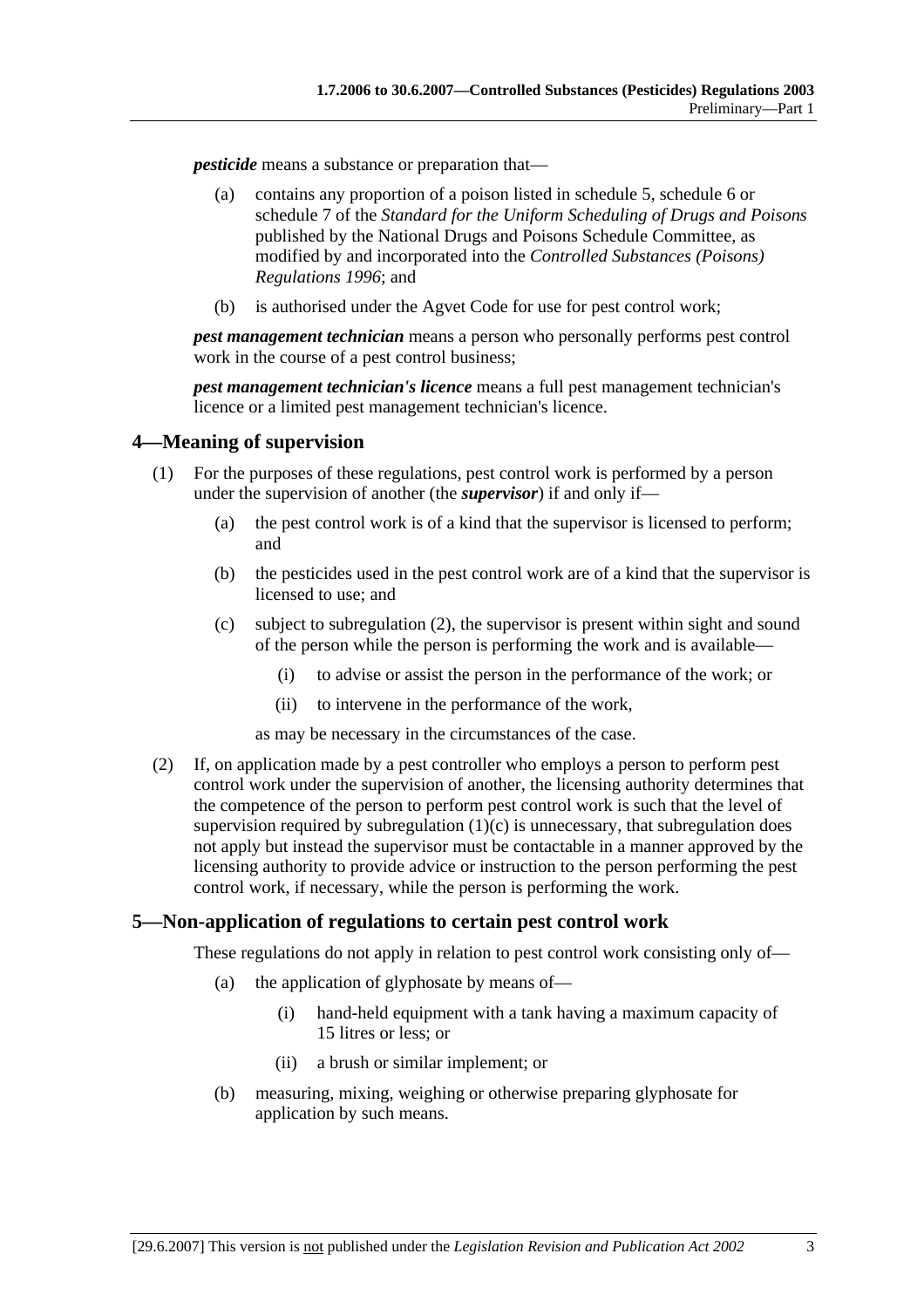*pesticide* means a substance or preparation that—

- (a) contains any proportion of a poison listed in schedule 5, schedule 6 or schedule 7 of the *Standard for the Uniform Scheduling of Drugs and Poisons* published by the National Drugs and Poisons Schedule Committee, as modified by and incorporated into the *Controlled Substances (Poisons) Regulations 1996*; and
- (b) is authorised under the Agvet Code for use for pest control work;

*pest management technician* means a person who personally performs pest control work in the course of a pest control business;

*pest management technician's licence* means a full pest management technician's licence or a limited pest management technician's licence.

#### **4—Meaning of supervision**

- (1) For the purposes of these regulations, pest control work is performed by a person under the supervision of another (the *supervisor*) if and only if—
	- (a) the pest control work is of a kind that the supervisor is licensed to perform; and
	- (b) the pesticides used in the pest control work are of a kind that the supervisor is licensed to use; and
	- (c) subject to subregulation (2), the supervisor is present within sight and sound of the person while the person is performing the work and is available—
		- (i) to advise or assist the person in the performance of the work; or
		- (ii) to intervene in the performance of the work,
		- as may be necessary in the circumstances of the case.
- (2) If, on application made by a pest controller who employs a person to perform pest control work under the supervision of another, the licensing authority determines that the competence of the person to perform pest control work is such that the level of supervision required by subregulation  $(1)(c)$  is unnecessary, that subregulation does not apply but instead the supervisor must be contactable in a manner approved by the licensing authority to provide advice or instruction to the person performing the pest control work, if necessary, while the person is performing the work.

#### **5—Non-application of regulations to certain pest control work**

These regulations do not apply in relation to pest control work consisting only of—

- (a) the application of glyphosate by means of—
	- (i) hand-held equipment with a tank having a maximum capacity of 15 litres or less; or
	- (ii) a brush or similar implement; or
- (b) measuring, mixing, weighing or otherwise preparing glyphosate for application by such means.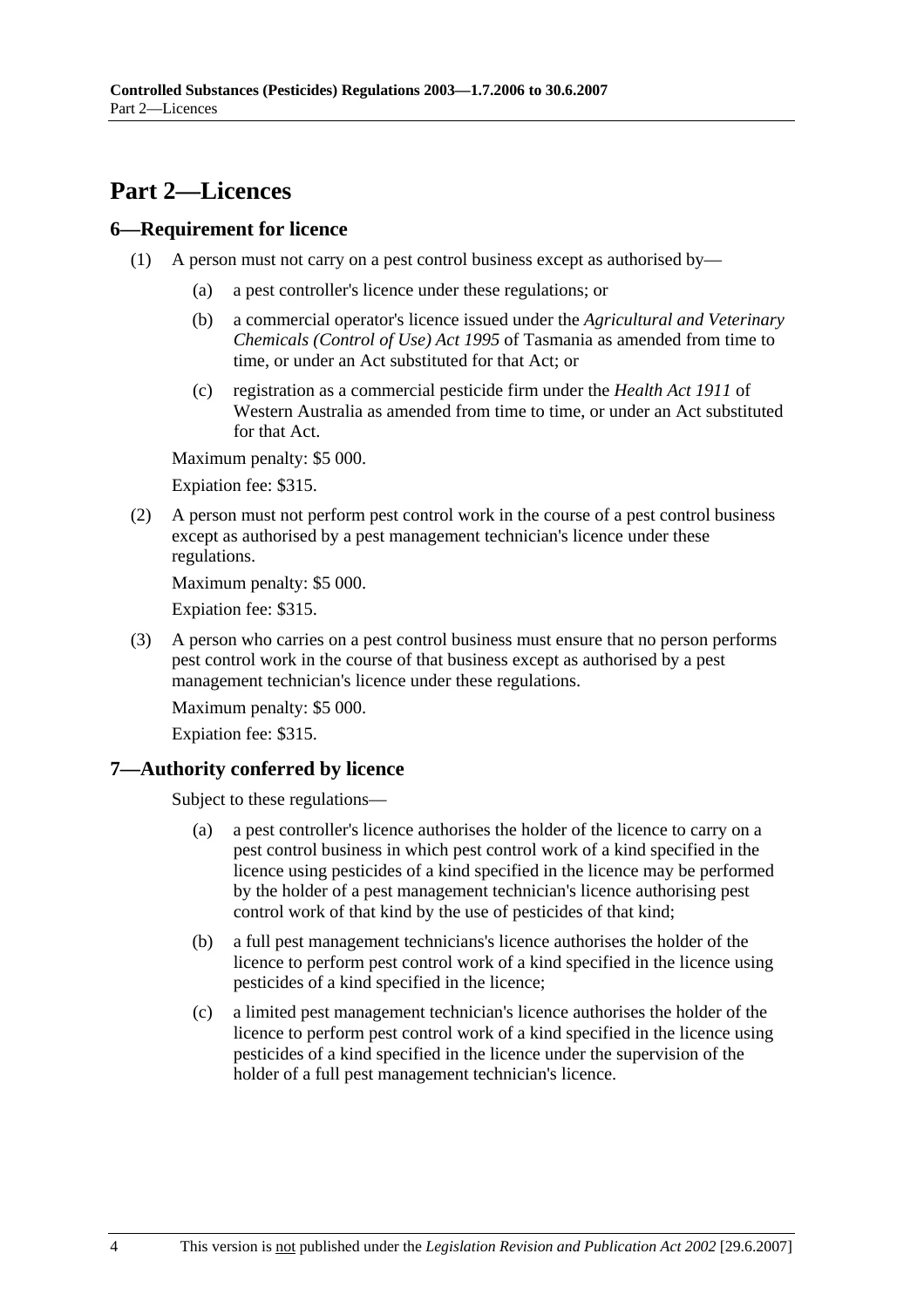## **Part 2—Licences**

### **6—Requirement for licence**

- (1) A person must not carry on a pest control business except as authorised by—
	- (a) a pest controller's licence under these regulations; or
	- (b) a commercial operator's licence issued under the *Agricultural and Veterinary Chemicals (Control of Use) Act 1995* of Tasmania as amended from time to time, or under an Act substituted for that Act; or
	- (c) registration as a commercial pesticide firm under the *Health Act 1911* of Western Australia as amended from time to time, or under an Act substituted for that Act.

Maximum penalty: \$5 000.

Expiation fee: \$315.

 (2) A person must not perform pest control work in the course of a pest control business except as authorised by a pest management technician's licence under these regulations.

Maximum penalty: \$5 000.

Expiation fee: \$315.

 (3) A person who carries on a pest control business must ensure that no person performs pest control work in the course of that business except as authorised by a pest management technician's licence under these regulations.

Maximum penalty: \$5 000.

Expiation fee: \$315.

## **7—Authority conferred by licence**

Subject to these regulations—

- (a) a pest controller's licence authorises the holder of the licence to carry on a pest control business in which pest control work of a kind specified in the licence using pesticides of a kind specified in the licence may be performed by the holder of a pest management technician's licence authorising pest control work of that kind by the use of pesticides of that kind;
- (b) a full pest management technicians's licence authorises the holder of the licence to perform pest control work of a kind specified in the licence using pesticides of a kind specified in the licence;
- (c) a limited pest management technician's licence authorises the holder of the licence to perform pest control work of a kind specified in the licence using pesticides of a kind specified in the licence under the supervision of the holder of a full pest management technician's licence.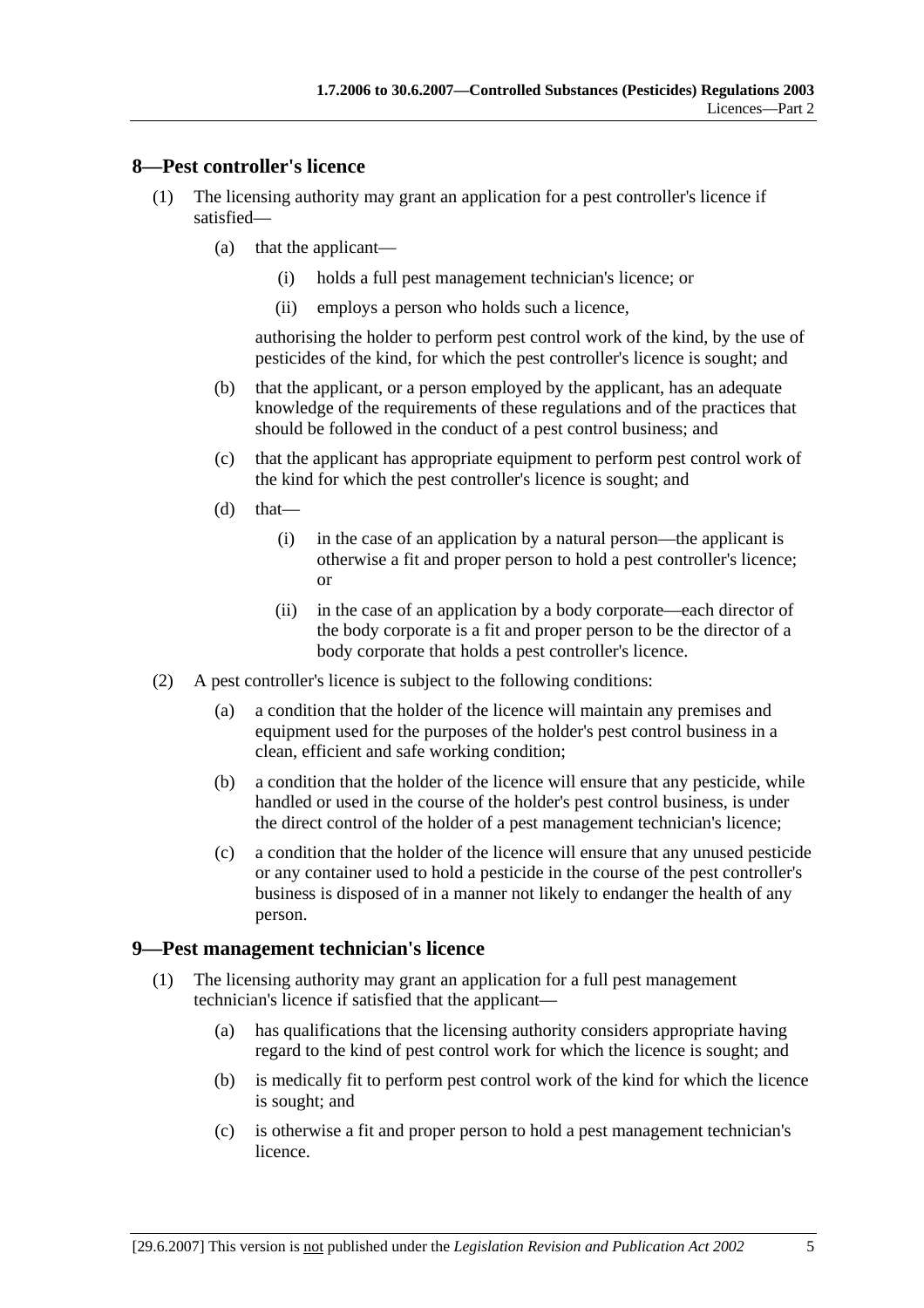#### **8—Pest controller's licence**

- (1) The licensing authority may grant an application for a pest controller's licence if satisfied—
	- (a) that the applicant—
		- (i) holds a full pest management technician's licence; or
		- (ii) employs a person who holds such a licence,

authorising the holder to perform pest control work of the kind, by the use of pesticides of the kind, for which the pest controller's licence is sought; and

- (b) that the applicant, or a person employed by the applicant, has an adequate knowledge of the requirements of these regulations and of the practices that should be followed in the conduct of a pest control business; and
- (c) that the applicant has appropriate equipment to perform pest control work of the kind for which the pest controller's licence is sought; and
- $(d)$  that—
	- (i) in the case of an application by a natural person—the applicant is otherwise a fit and proper person to hold a pest controller's licence; or
	- (ii) in the case of an application by a body corporate—each director of the body corporate is a fit and proper person to be the director of a body corporate that holds a pest controller's licence.
- (2) A pest controller's licence is subject to the following conditions:
	- (a) a condition that the holder of the licence will maintain any premises and equipment used for the purposes of the holder's pest control business in a clean, efficient and safe working condition;
	- (b) a condition that the holder of the licence will ensure that any pesticide, while handled or used in the course of the holder's pest control business, is under the direct control of the holder of a pest management technician's licence;
	- (c) a condition that the holder of the licence will ensure that any unused pesticide or any container used to hold a pesticide in the course of the pest controller's business is disposed of in a manner not likely to endanger the health of any person.

#### **9—Pest management technician's licence**

- (1) The licensing authority may grant an application for a full pest management technician's licence if satisfied that the applicant—
	- (a) has qualifications that the licensing authority considers appropriate having regard to the kind of pest control work for which the licence is sought; and
	- (b) is medically fit to perform pest control work of the kind for which the licence is sought; and
	- (c) is otherwise a fit and proper person to hold a pest management technician's licence.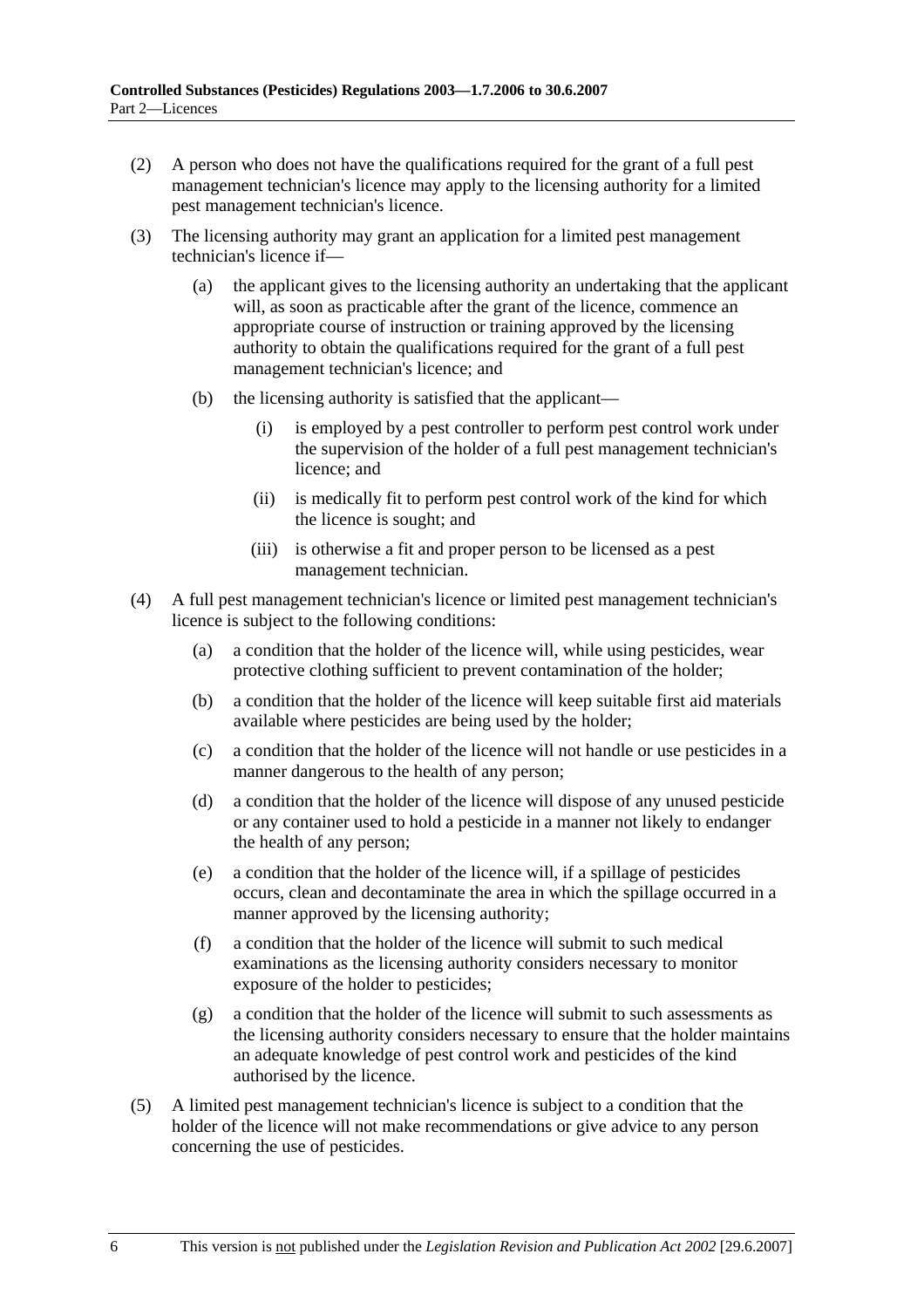- (2) A person who does not have the qualifications required for the grant of a full pest management technician's licence may apply to the licensing authority for a limited pest management technician's licence.
- (3) The licensing authority may grant an application for a limited pest management technician's licence if—
	- (a) the applicant gives to the licensing authority an undertaking that the applicant will, as soon as practicable after the grant of the licence, commence an appropriate course of instruction or training approved by the licensing authority to obtain the qualifications required for the grant of a full pest management technician's licence; and
	- (b) the licensing authority is satisfied that the applicant—
		- (i) is employed by a pest controller to perform pest control work under the supervision of the holder of a full pest management technician's licence; and
		- (ii) is medically fit to perform pest control work of the kind for which the licence is sought; and
		- (iii) is otherwise a fit and proper person to be licensed as a pest management technician.
- (4) A full pest management technician's licence or limited pest management technician's licence is subject to the following conditions:
	- (a) a condition that the holder of the licence will, while using pesticides, wear protective clothing sufficient to prevent contamination of the holder;
	- (b) a condition that the holder of the licence will keep suitable first aid materials available where pesticides are being used by the holder;
	- (c) a condition that the holder of the licence will not handle or use pesticides in a manner dangerous to the health of any person;
	- (d) a condition that the holder of the licence will dispose of any unused pesticide or any container used to hold a pesticide in a manner not likely to endanger the health of any person;
	- (e) a condition that the holder of the licence will, if a spillage of pesticides occurs, clean and decontaminate the area in which the spillage occurred in a manner approved by the licensing authority;
	- (f) a condition that the holder of the licence will submit to such medical examinations as the licensing authority considers necessary to monitor exposure of the holder to pesticides;
	- (g) a condition that the holder of the licence will submit to such assessments as the licensing authority considers necessary to ensure that the holder maintains an adequate knowledge of pest control work and pesticides of the kind authorised by the licence.
- (5) A limited pest management technician's licence is subject to a condition that the holder of the licence will not make recommendations or give advice to any person concerning the use of pesticides.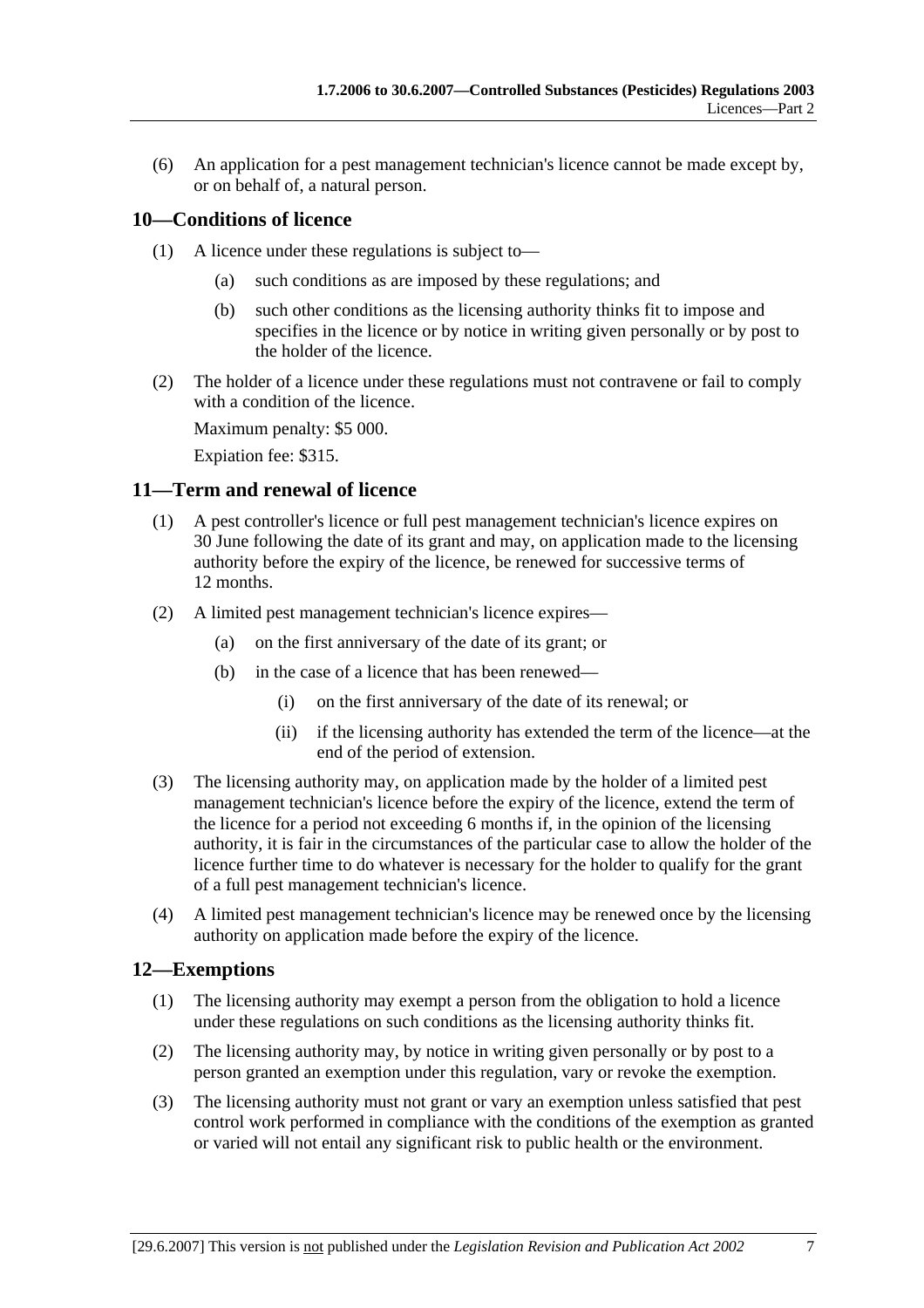(6) An application for a pest management technician's licence cannot be made except by, or on behalf of, a natural person.

### **10—Conditions of licence**

- (1) A licence under these regulations is subject to—
	- (a) such conditions as are imposed by these regulations; and
	- (b) such other conditions as the licensing authority thinks fit to impose and specifies in the licence or by notice in writing given personally or by post to the holder of the licence.
- (2) The holder of a licence under these regulations must not contravene or fail to comply with a condition of the licence.

Maximum penalty: \$5 000.

Expiation fee: \$315.

#### **11—Term and renewal of licence**

- (1) A pest controller's licence or full pest management technician's licence expires on 30 June following the date of its grant and may, on application made to the licensing authority before the expiry of the licence, be renewed for successive terms of 12 months.
- (2) A limited pest management technician's licence expires—
	- (a) on the first anniversary of the date of its grant; or
	- (b) in the case of a licence that has been renewed—
		- (i) on the first anniversary of the date of its renewal; or
		- (ii) if the licensing authority has extended the term of the licence—at the end of the period of extension.
- (3) The licensing authority may, on application made by the holder of a limited pest management technician's licence before the expiry of the licence, extend the term of the licence for a period not exceeding 6 months if, in the opinion of the licensing authority, it is fair in the circumstances of the particular case to allow the holder of the licence further time to do whatever is necessary for the holder to qualify for the grant of a full pest management technician's licence.
- (4) A limited pest management technician's licence may be renewed once by the licensing authority on application made before the expiry of the licence.

#### **12—Exemptions**

- (1) The licensing authority may exempt a person from the obligation to hold a licence under these regulations on such conditions as the licensing authority thinks fit.
- (2) The licensing authority may, by notice in writing given personally or by post to a person granted an exemption under this regulation, vary or revoke the exemption.
- (3) The licensing authority must not grant or vary an exemption unless satisfied that pest control work performed in compliance with the conditions of the exemption as granted or varied will not entail any significant risk to public health or the environment.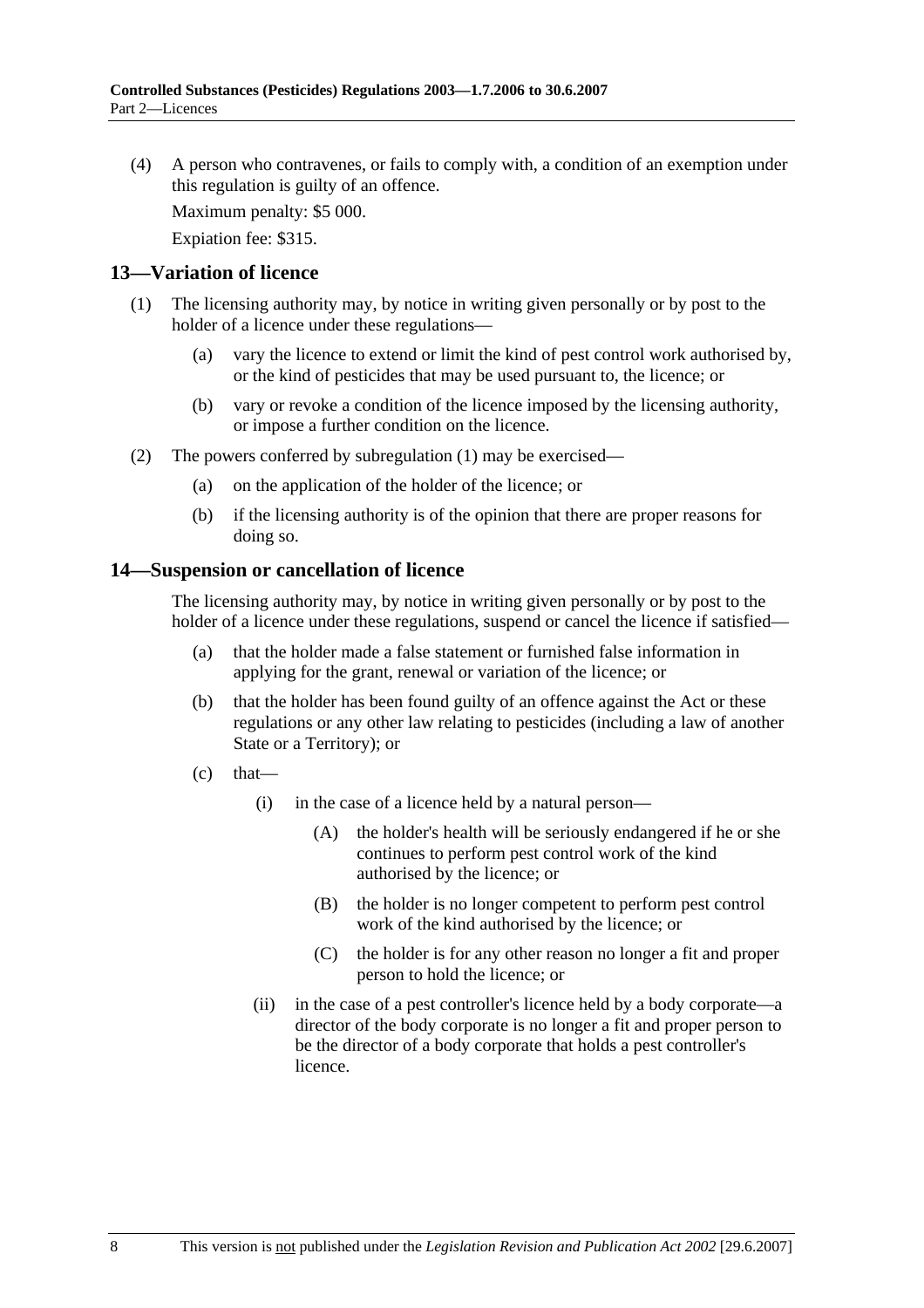(4) A person who contravenes, or fails to comply with, a condition of an exemption under this regulation is guilty of an offence.

Maximum penalty: \$5 000.

Expiation fee: \$315.

#### **13—Variation of licence**

- (1) The licensing authority may, by notice in writing given personally or by post to the holder of a licence under these regulations—
	- (a) vary the licence to extend or limit the kind of pest control work authorised by, or the kind of pesticides that may be used pursuant to, the licence; or
	- (b) vary or revoke a condition of the licence imposed by the licensing authority, or impose a further condition on the licence.
- (2) The powers conferred by subregulation (1) may be exercised—
	- (a) on the application of the holder of the licence; or
	- (b) if the licensing authority is of the opinion that there are proper reasons for doing so.

#### **14—Suspension or cancellation of licence**

The licensing authority may, by notice in writing given personally or by post to the holder of a licence under these regulations, suspend or cancel the licence if satisfied—

- (a) that the holder made a false statement or furnished false information in applying for the grant, renewal or variation of the licence; or
- (b) that the holder has been found guilty of an offence against the Act or these regulations or any other law relating to pesticides (including a law of another State or a Territory); or
- $(c)$  that—
	- (i) in the case of a licence held by a natural person—
		- (A) the holder's health will be seriously endangered if he or she continues to perform pest control work of the kind authorised by the licence; or
		- (B) the holder is no longer competent to perform pest control work of the kind authorised by the licence; or
		- (C) the holder is for any other reason no longer a fit and proper person to hold the licence; or
	- (ii) in the case of a pest controller's licence held by a body corporate—a director of the body corporate is no longer a fit and proper person to be the director of a body corporate that holds a pest controller's licence.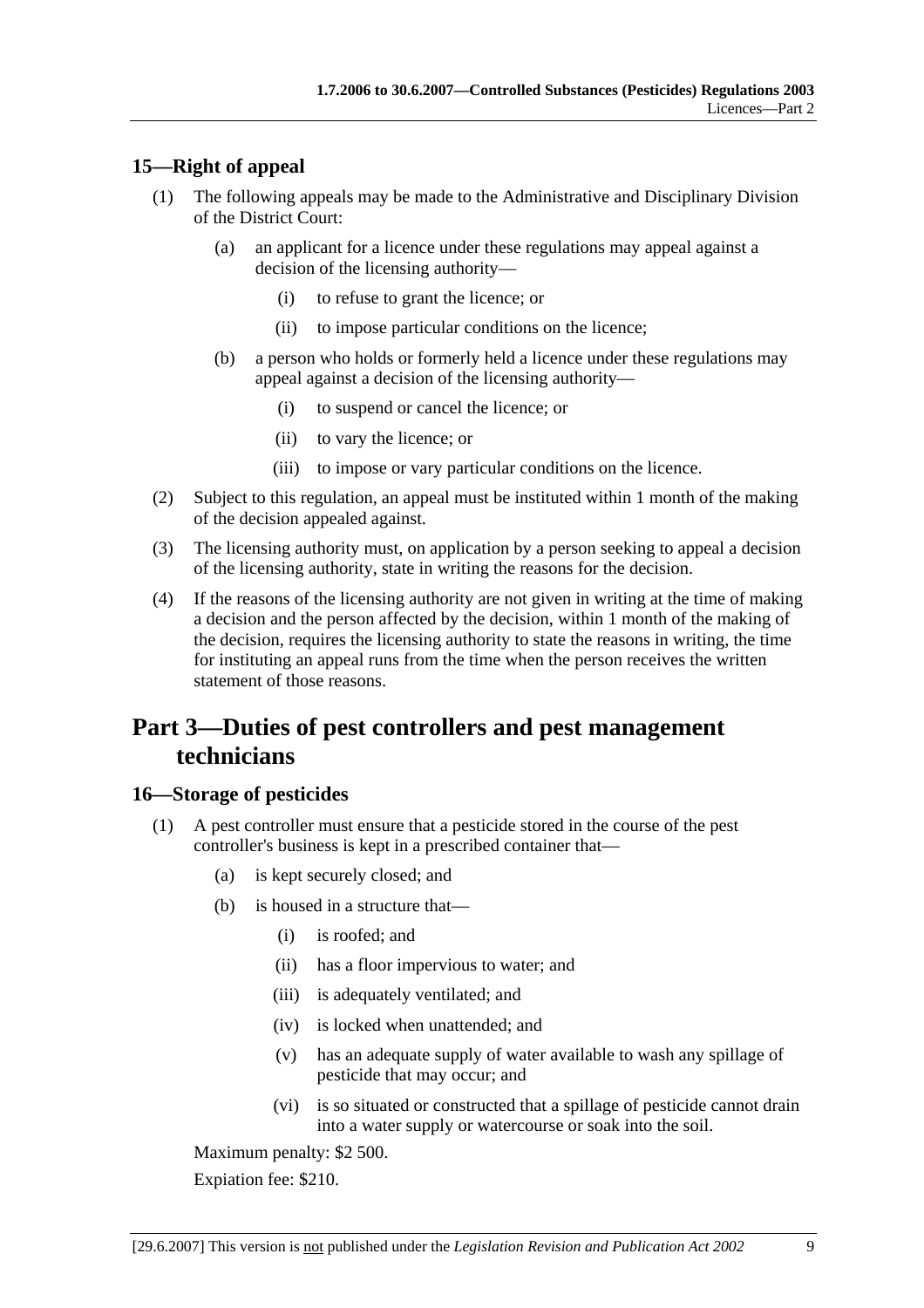### **15—Right of appeal**

- (1) The following appeals may be made to the Administrative and Disciplinary Division of the District Court:
	- (a) an applicant for a licence under these regulations may appeal against a decision of the licensing authority—
		- (i) to refuse to grant the licence; or
		- (ii) to impose particular conditions on the licence;
	- (b) a person who holds or formerly held a licence under these regulations may appeal against a decision of the licensing authority—
		- (i) to suspend or cancel the licence; or
		- (ii) to vary the licence; or
		- (iii) to impose or vary particular conditions on the licence.
- (2) Subject to this regulation, an appeal must be instituted within 1 month of the making of the decision appealed against.
- (3) The licensing authority must, on application by a person seeking to appeal a decision of the licensing authority, state in writing the reasons for the decision.
- (4) If the reasons of the licensing authority are not given in writing at the time of making a decision and the person affected by the decision, within 1 month of the making of the decision, requires the licensing authority to state the reasons in writing, the time for instituting an appeal runs from the time when the person receives the written statement of those reasons.

# **Part 3—Duties of pest controllers and pest management technicians**

#### **16—Storage of pesticides**

- (1) A pest controller must ensure that a pesticide stored in the course of the pest controller's business is kept in a prescribed container that—
	- (a) is kept securely closed; and
	- (b) is housed in a structure that—
		- (i) is roofed; and
		- (ii) has a floor impervious to water; and
		- (iii) is adequately ventilated; and
		- (iv) is locked when unattended; and
		- (v) has an adequate supply of water available to wash any spillage of pesticide that may occur; and
		- (vi) is so situated or constructed that a spillage of pesticide cannot drain into a water supply or watercourse or soak into the soil.

Maximum penalty: \$2 500.

Expiation fee: \$210.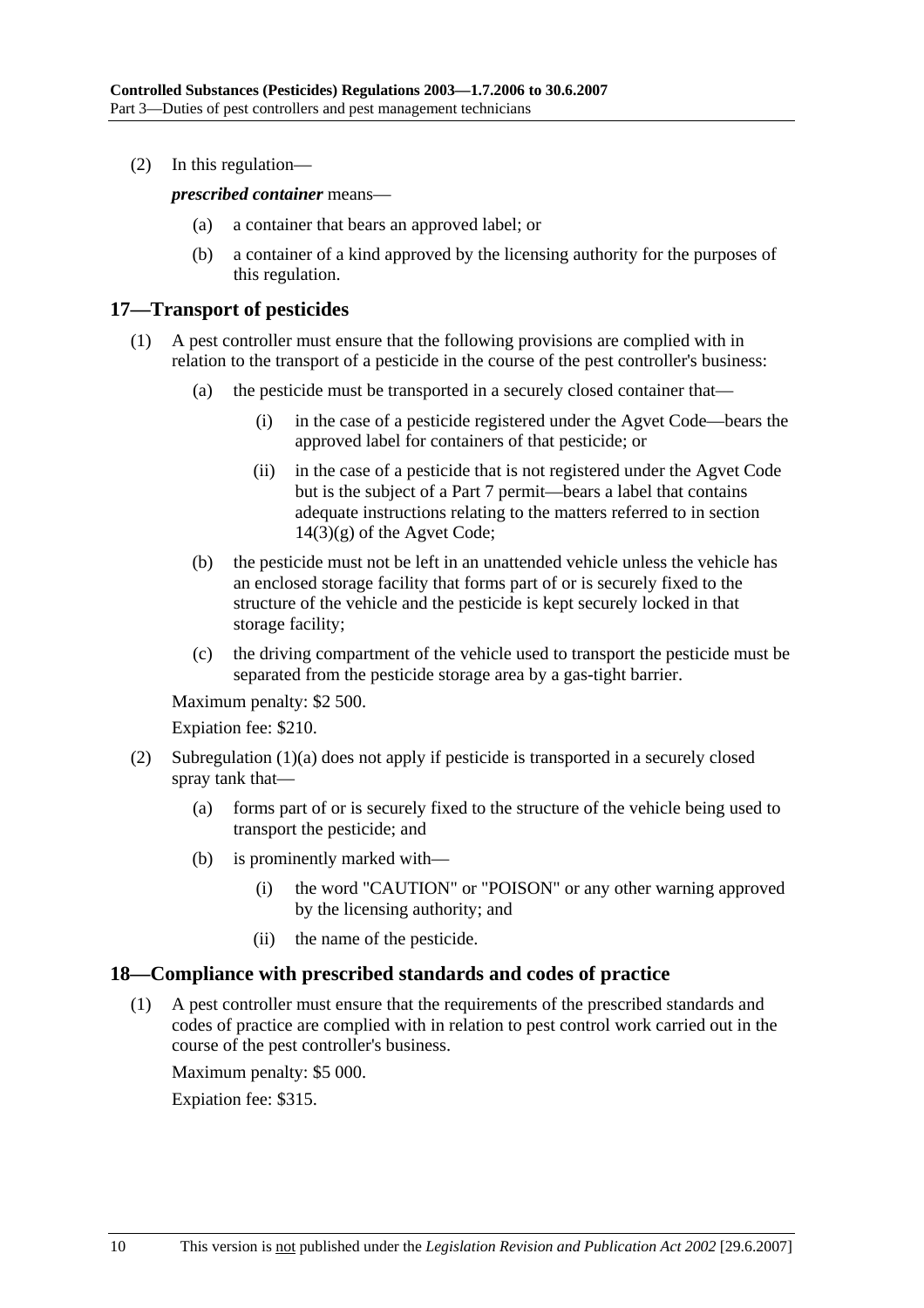(2) In this regulation—

*prescribed container* means—

- (a) a container that bears an approved label; or
- (b) a container of a kind approved by the licensing authority for the purposes of this regulation.

#### **17—Transport of pesticides**

- (1) A pest controller must ensure that the following provisions are complied with in relation to the transport of a pesticide in the course of the pest controller's business:
	- (a) the pesticide must be transported in a securely closed container that—
		- (i) in the case of a pesticide registered under the Agvet Code—bears the approved label for containers of that pesticide; or
		- (ii) in the case of a pesticide that is not registered under the Agvet Code but is the subject of a Part 7 permit—bears a label that contains adequate instructions relating to the matters referred to in section  $14(3)(g)$  of the Agvet Code;
	- (b) the pesticide must not be left in an unattended vehicle unless the vehicle has an enclosed storage facility that forms part of or is securely fixed to the structure of the vehicle and the pesticide is kept securely locked in that storage facility;
	- (c) the driving compartment of the vehicle used to transport the pesticide must be separated from the pesticide storage area by a gas-tight barrier.

Maximum penalty: \$2 500.

Expiation fee: \$210.

- (2) Subregulation (1)(a) does not apply if pesticide is transported in a securely closed spray tank that—
	- (a) forms part of or is securely fixed to the structure of the vehicle being used to transport the pesticide; and
	- (b) is prominently marked with—
		- (i) the word "CAUTION" or "POISON" or any other warning approved by the licensing authority; and
		- (ii) the name of the pesticide.

#### **18—Compliance with prescribed standards and codes of practice**

 (1) A pest controller must ensure that the requirements of the prescribed standards and codes of practice are complied with in relation to pest control work carried out in the course of the pest controller's business.

Maximum penalty: \$5 000.

Expiation fee: \$315.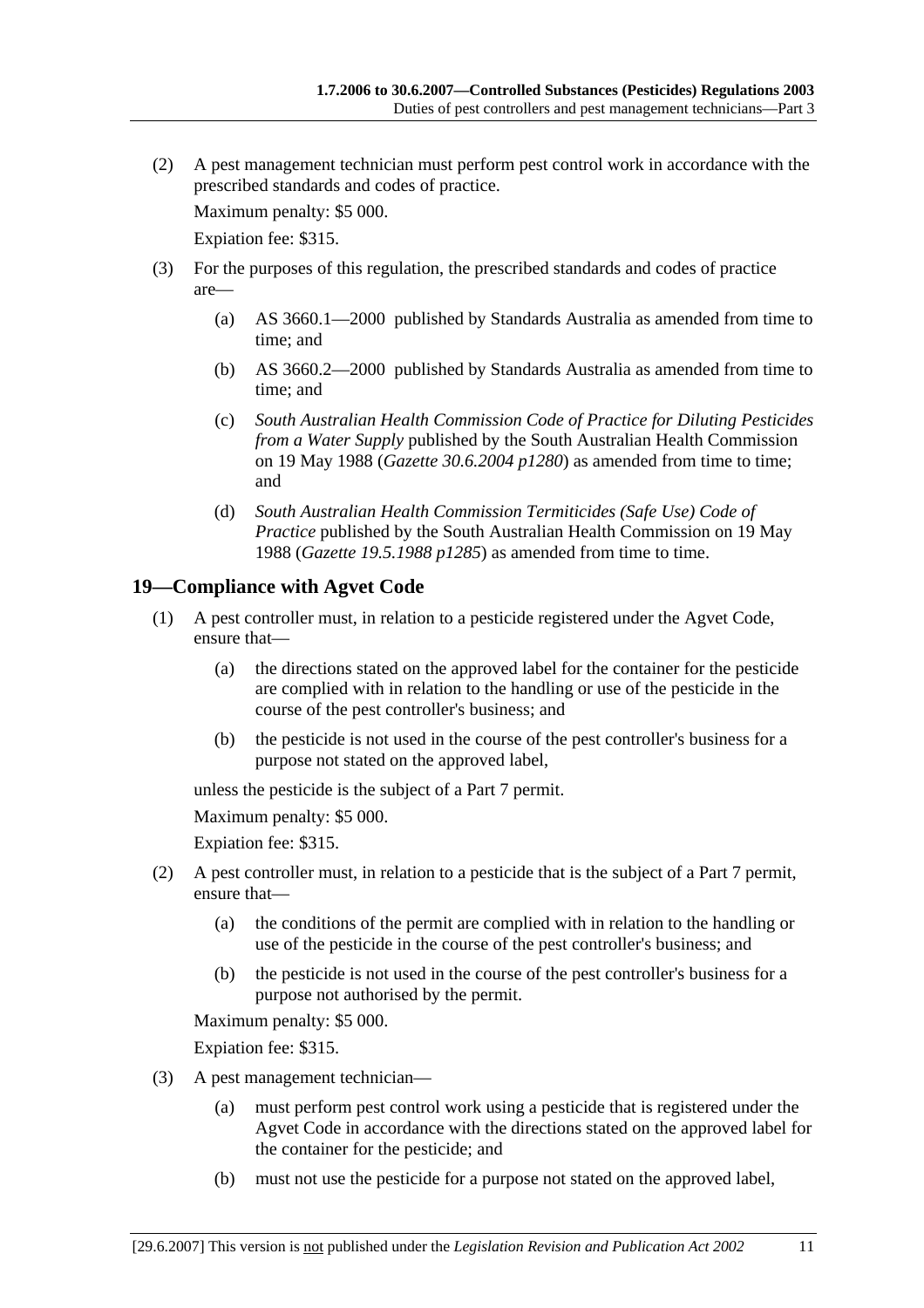(2) A pest management technician must perform pest control work in accordance with the prescribed standards and codes of practice.

Maximum penalty: \$5 000.

Expiation fee: \$315.

- (3) For the purposes of this regulation, the prescribed standards and codes of practice are—
	- (a) AS 3660.1—2000 published by Standards Australia as amended from time to time; and
	- (b) AS 3660.2—2000 published by Standards Australia as amended from time to time; and
	- (c) *South Australian Health Commission Code of Practice for Diluting Pesticides from a Water Supply* published by the South Australian Health Commission on 19 May 1988 (*Gazette 30.6.2004 p1280*) as amended from time to time; and
	- (d) *South Australian Health Commission Termiticides (Safe Use) Code of Practice* published by the South Australian Health Commission on 19 May 1988 (*Gazette 19.5.1988 p1285*) as amended from time to time.

### **19—Compliance with Agvet Code**

- (1) A pest controller must, in relation to a pesticide registered under the Agvet Code, ensure that—
	- (a) the directions stated on the approved label for the container for the pesticide are complied with in relation to the handling or use of the pesticide in the course of the pest controller's business; and
	- (b) the pesticide is not used in the course of the pest controller's business for a purpose not stated on the approved label,

unless the pesticide is the subject of a Part 7 permit.

Maximum penalty: \$5 000.

Expiation fee: \$315.

- (2) A pest controller must, in relation to a pesticide that is the subject of a Part 7 permit, ensure that—
	- (a) the conditions of the permit are complied with in relation to the handling or use of the pesticide in the course of the pest controller's business; and
	- (b) the pesticide is not used in the course of the pest controller's business for a purpose not authorised by the permit.

Maximum penalty: \$5 000.

Expiation fee: \$315.

- (3) A pest management technician—
	- (a) must perform pest control work using a pesticide that is registered under the Agvet Code in accordance with the directions stated on the approved label for the container for the pesticide; and
	- (b) must not use the pesticide for a purpose not stated on the approved label,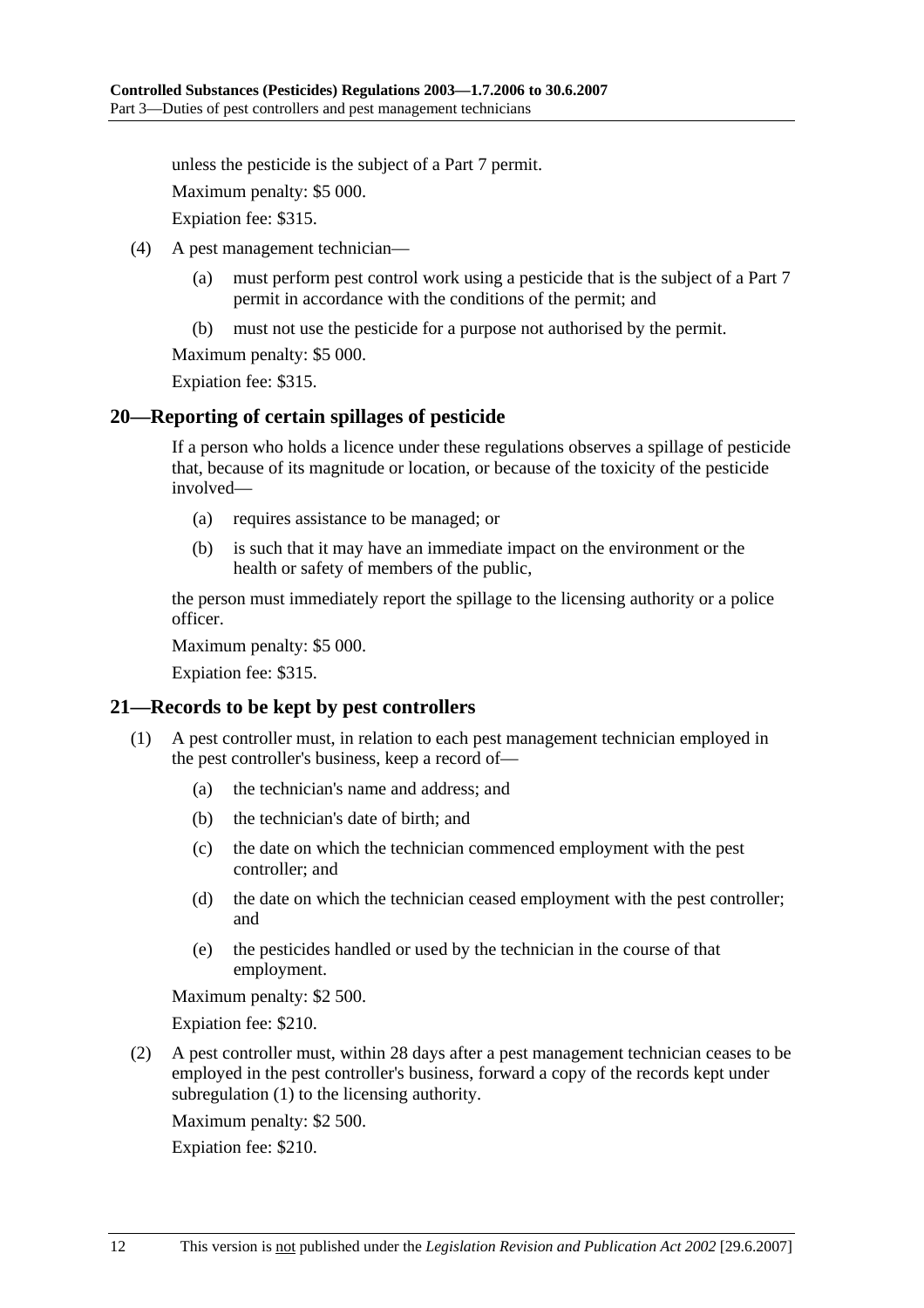unless the pesticide is the subject of a Part 7 permit.

Maximum penalty: \$5 000.

Expiation fee: \$315.

- (4) A pest management technician—
	- (a) must perform pest control work using a pesticide that is the subject of a Part 7 permit in accordance with the conditions of the permit; and
	- (b) must not use the pesticide for a purpose not authorised by the permit.

Maximum penalty: \$5 000.

Expiation fee: \$315.

#### **20—Reporting of certain spillages of pesticide**

If a person who holds a licence under these regulations observes a spillage of pesticide that, because of its magnitude or location, or because of the toxicity of the pesticide involved—

- (a) requires assistance to be managed; or
- (b) is such that it may have an immediate impact on the environment or the health or safety of members of the public,

the person must immediately report the spillage to the licensing authority or a police officer.

Maximum penalty: \$5 000.

Expiation fee: \$315.

#### **21—Records to be kept by pest controllers**

- (1) A pest controller must, in relation to each pest management technician employed in the pest controller's business, keep a record of—
	- (a) the technician's name and address; and
	- (b) the technician's date of birth; and
	- (c) the date on which the technician commenced employment with the pest controller; and
	- (d) the date on which the technician ceased employment with the pest controller; and
	- (e) the pesticides handled or used by the technician in the course of that employment.

Maximum penalty: \$2 500.

Expiation fee: \$210.

 (2) A pest controller must, within 28 days after a pest management technician ceases to be employed in the pest controller's business, forward a copy of the records kept under subregulation (1) to the licensing authority.

Maximum penalty: \$2 500.

Expiation fee: \$210.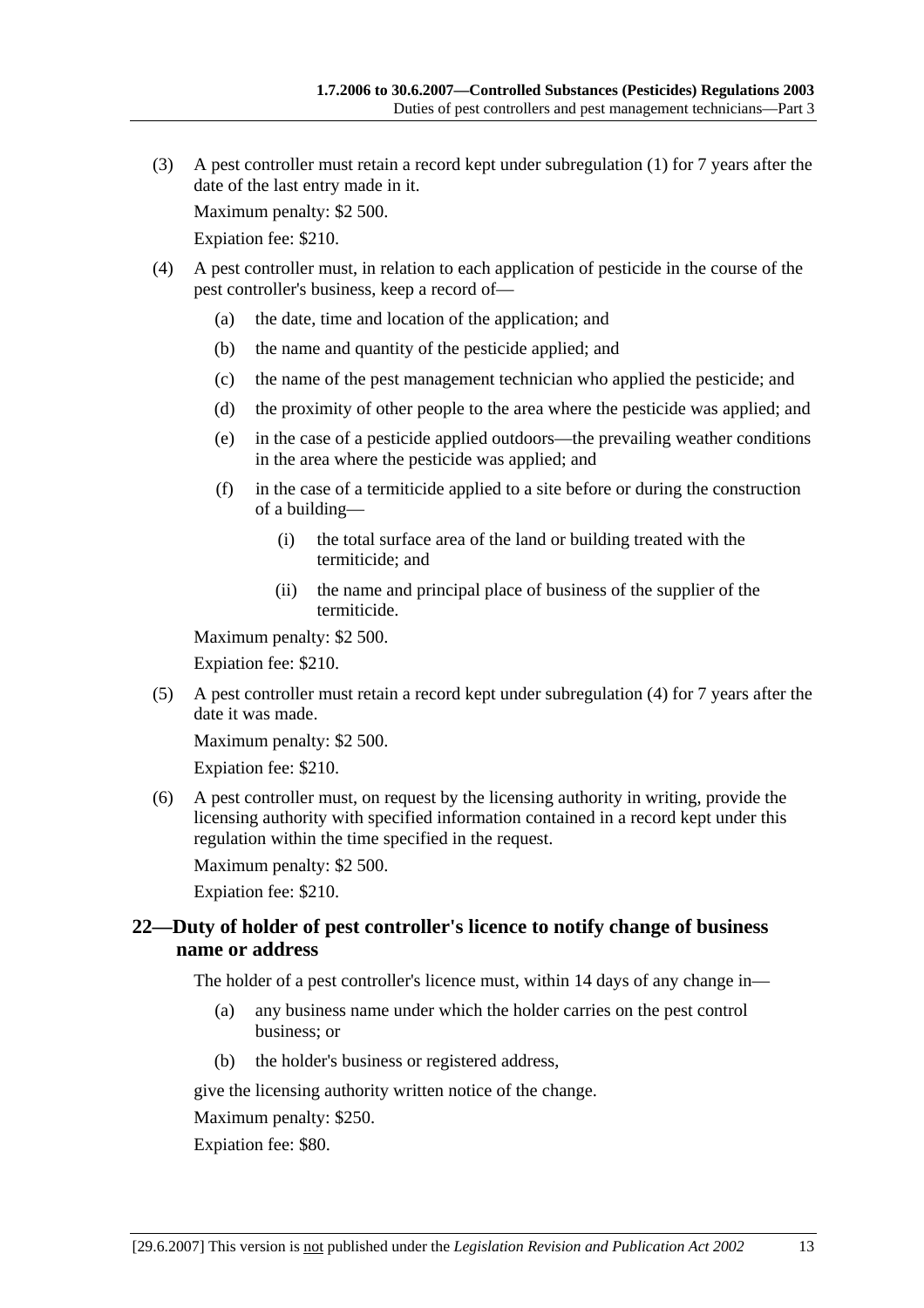(3) A pest controller must retain a record kept under subregulation (1) for 7 years after the date of the last entry made in it.

Maximum penalty: \$2 500.

Expiation fee: \$210.

- (4) A pest controller must, in relation to each application of pesticide in the course of the pest controller's business, keep a record of—
	- (a) the date, time and location of the application; and
	- (b) the name and quantity of the pesticide applied; and
	- (c) the name of the pest management technician who applied the pesticide; and
	- (d) the proximity of other people to the area where the pesticide was applied; and
	- (e) in the case of a pesticide applied outdoors—the prevailing weather conditions in the area where the pesticide was applied; and
	- (f) in the case of a termiticide applied to a site before or during the construction of a building—
		- (i) the total surface area of the land or building treated with the termiticide; and
		- (ii) the name and principal place of business of the supplier of the termiticide.

Maximum penalty: \$2 500.

Expiation fee: \$210.

 (5) A pest controller must retain a record kept under subregulation (4) for 7 years after the date it was made.

Maximum penalty: \$2 500.

Expiation fee: \$210.

 (6) A pest controller must, on request by the licensing authority in writing, provide the licensing authority with specified information contained in a record kept under this regulation within the time specified in the request.

Maximum penalty: \$2 500.

Expiation fee: \$210.

#### **22—Duty of holder of pest controller's licence to notify change of business name or address**

The holder of a pest controller's licence must, within 14 days of any change in—

- (a) any business name under which the holder carries on the pest control business; or
- (b) the holder's business or registered address,

give the licensing authority written notice of the change.

Maximum penalty: \$250.

Expiation fee: \$80.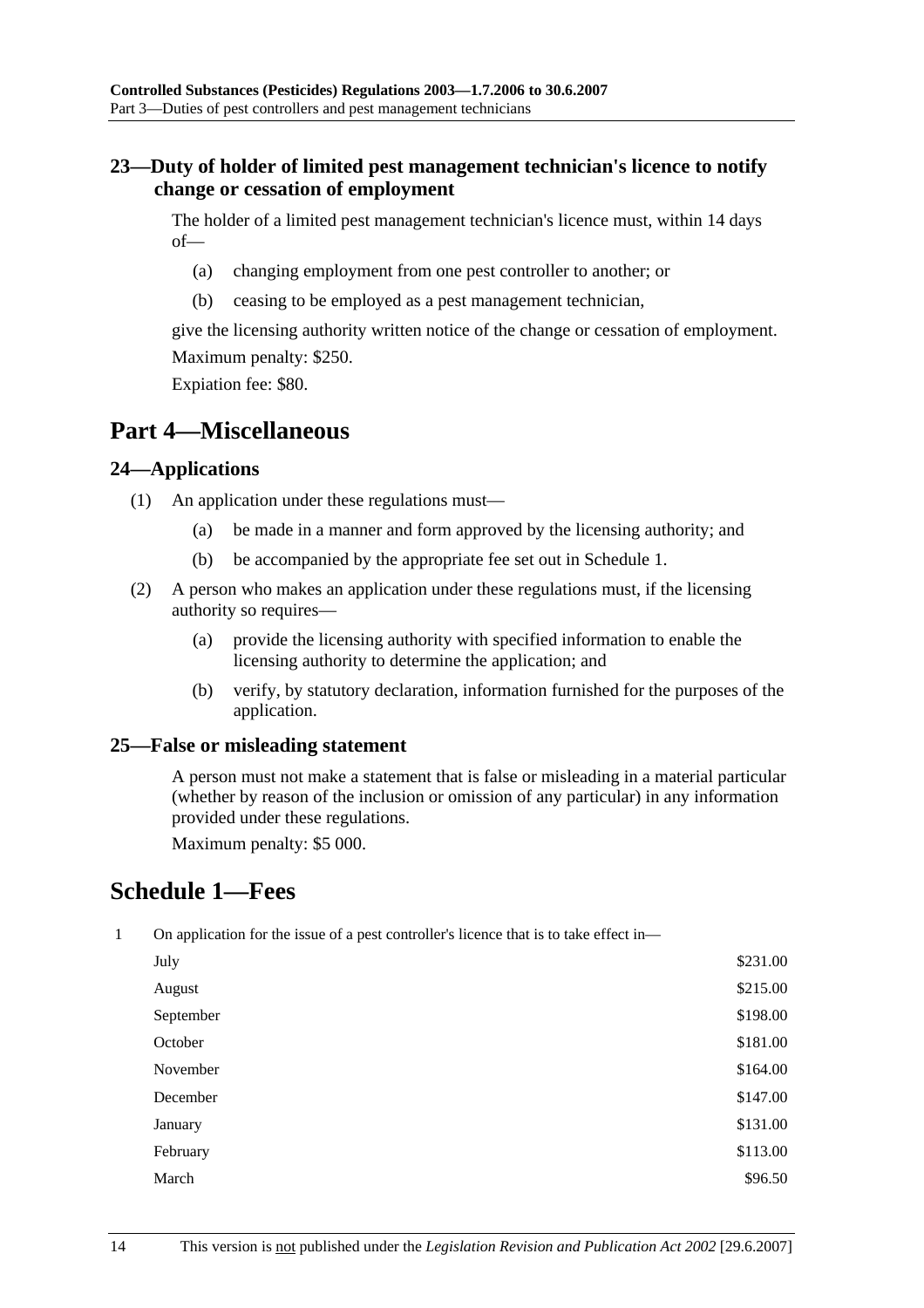### **23—Duty of holder of limited pest management technician's licence to notify change or cessation of employment**

The holder of a limited pest management technician's licence must, within 14 days of—

- (a) changing employment from one pest controller to another; or
- (b) ceasing to be employed as a pest management technician,

give the licensing authority written notice of the change or cessation of employment. Maximum penalty: \$250.

Expiation fee: \$80.

## **Part 4—Miscellaneous**

#### **24—Applications**

- (1) An application under these regulations must—
	- (a) be made in a manner and form approved by the licensing authority; and
	- (b) be accompanied by the appropriate fee set out in Schedule 1.
- (2) A person who makes an application under these regulations must, if the licensing authority so requires—
	- (a) provide the licensing authority with specified information to enable the licensing authority to determine the application; and
	- (b) verify, by statutory declaration, information furnished for the purposes of the application.

#### **25—False or misleading statement**

A person must not make a statement that is false or misleading in a material particular (whether by reason of the inclusion or omission of any particular) in any information provided under these regulations.

Maximum penalty: \$5 000.

## **Schedule 1—Fees**

|  |  |  |  | On application for the issue of a pest controller's licence that is to take effect in— |  |
|--|--|--|--|----------------------------------------------------------------------------------------|--|
|--|--|--|--|----------------------------------------------------------------------------------------|--|

| July      | \$231.00 |
|-----------|----------|
| August    | \$215.00 |
| September | \$198.00 |
| October   | \$181.00 |
| November  | \$164.00 |
| December  | \$147.00 |
| January   | \$131.00 |
| February  | \$113.00 |
| March     | \$96.50  |
|           |          |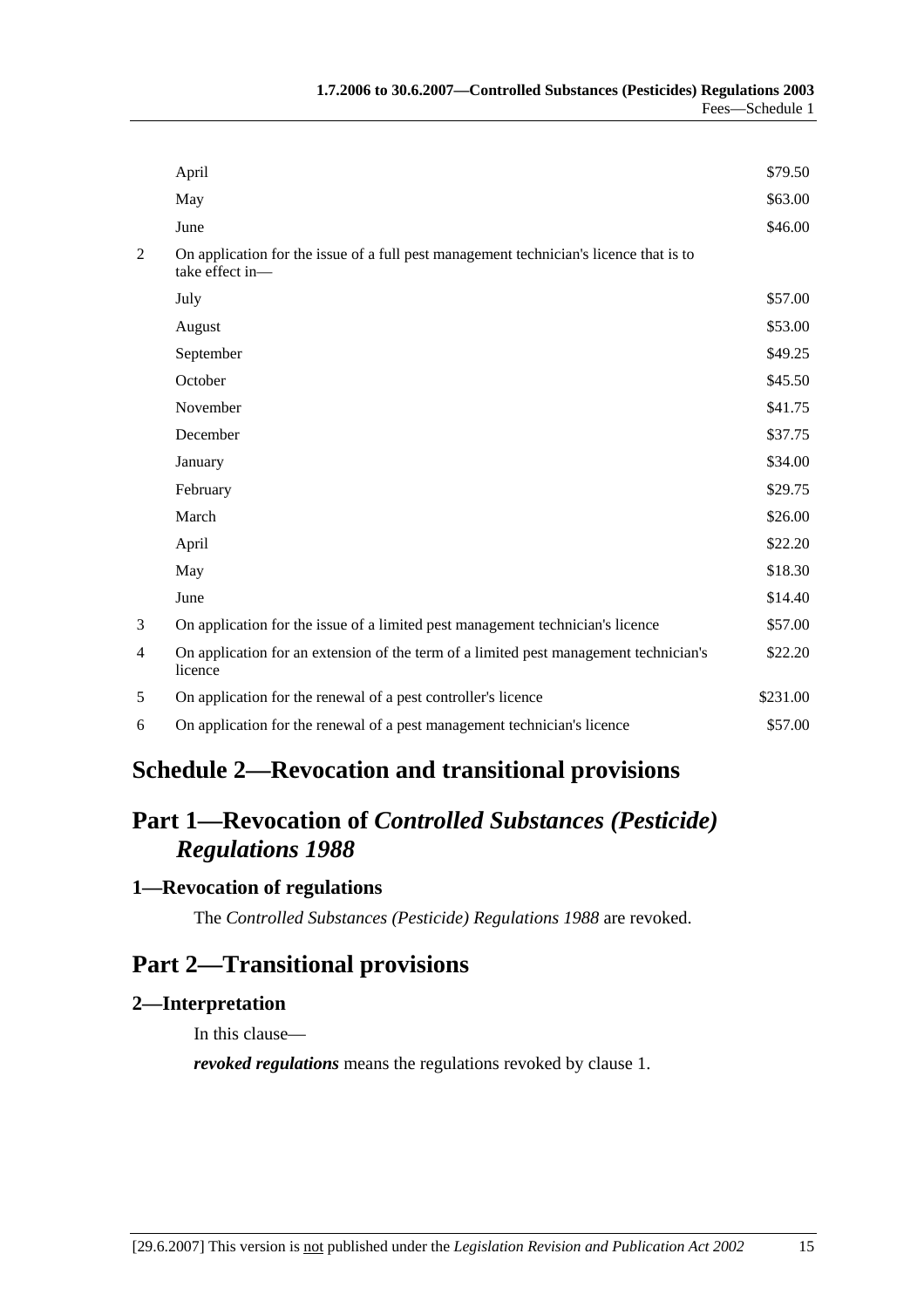|   | April                                                                                                     | \$79.50  |
|---|-----------------------------------------------------------------------------------------------------------|----------|
|   | May                                                                                                       | \$63.00  |
|   | June                                                                                                      | \$46.00  |
| 2 | On application for the issue of a full pest management technician's licence that is to<br>take effect in- |          |
|   | July                                                                                                      | \$57.00  |
|   | August                                                                                                    | \$53.00  |
|   | September                                                                                                 | \$49.25  |
|   | October                                                                                                   | \$45.50  |
|   | November                                                                                                  | \$41.75  |
|   | December                                                                                                  | \$37.75  |
|   | January                                                                                                   | \$34.00  |
|   | February                                                                                                  | \$29.75  |
|   | March                                                                                                     | \$26.00  |
|   | April                                                                                                     | \$22.20  |
|   | May                                                                                                       | \$18.30  |
|   | June                                                                                                      | \$14.40  |
| 3 | On application for the issue of a limited pest management technician's licence                            | \$57.00  |
| 4 | On application for an extension of the term of a limited pest management technician's<br>licence          | \$22.20  |
| 5 | On application for the renewal of a pest controller's licence                                             | \$231.00 |
| 6 | On application for the renewal of a pest management technician's licence                                  | \$57.00  |
|   |                                                                                                           |          |

# **Schedule 2—Revocation and transitional provisions**

# **Part 1—Revocation of** *Controlled Substances (Pesticide) Regulations 1988*

## **1—Revocation of regulations**

The *Controlled Substances (Pesticide) Regulations 1988* are revoked.

## **Part 2—Transitional provisions**

#### **2—Interpretation**

In this clause—

*revoked regulations* means the regulations revoked by clause 1.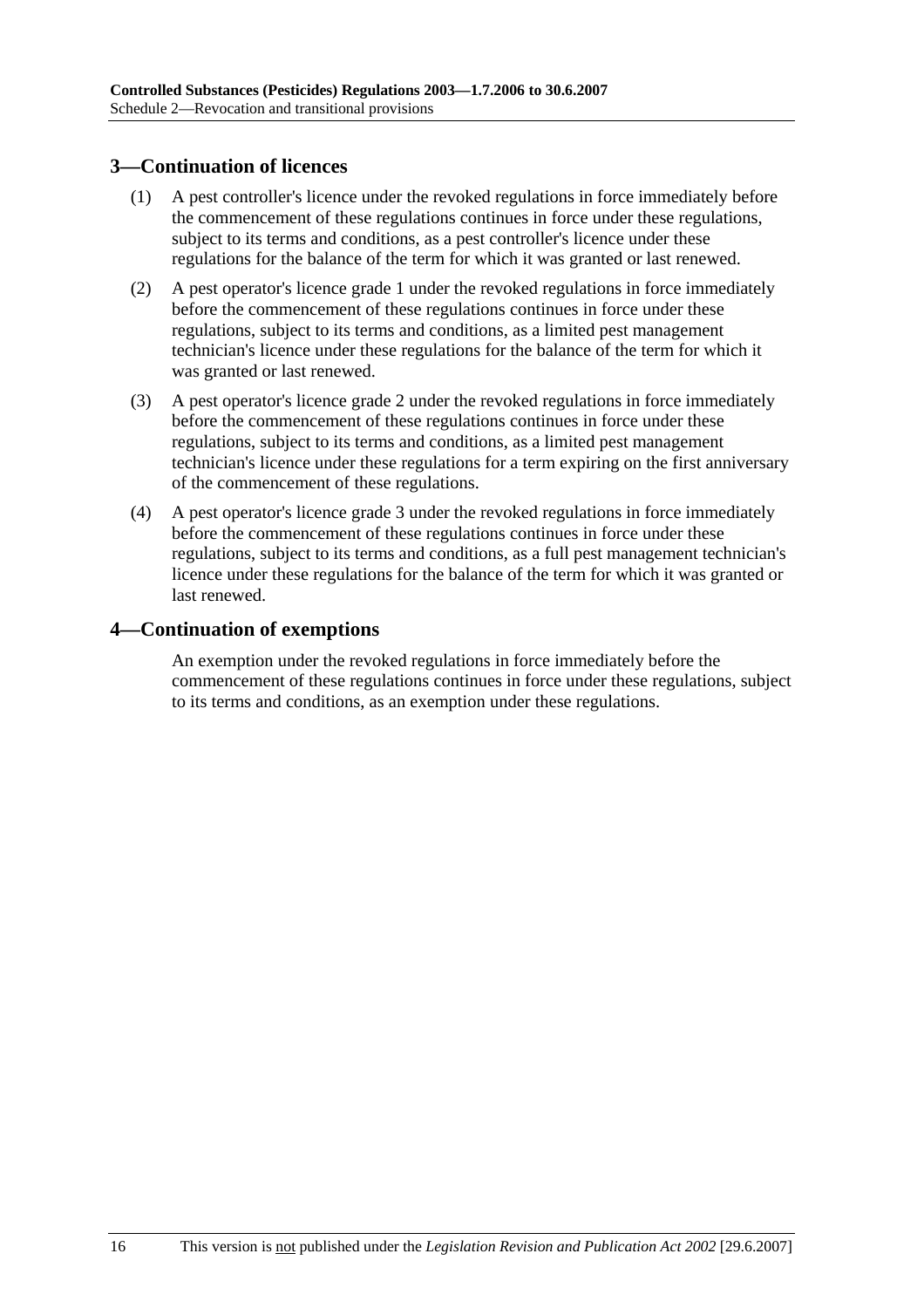### **3—Continuation of licences**

- (1) A pest controller's licence under the revoked regulations in force immediately before the commencement of these regulations continues in force under these regulations, subject to its terms and conditions, as a pest controller's licence under these regulations for the balance of the term for which it was granted or last renewed.
- (2) A pest operator's licence grade 1 under the revoked regulations in force immediately before the commencement of these regulations continues in force under these regulations, subject to its terms and conditions, as a limited pest management technician's licence under these regulations for the balance of the term for which it was granted or last renewed.
- (3) A pest operator's licence grade 2 under the revoked regulations in force immediately before the commencement of these regulations continues in force under these regulations, subject to its terms and conditions, as a limited pest management technician's licence under these regulations for a term expiring on the first anniversary of the commencement of these regulations.
- (4) A pest operator's licence grade 3 under the revoked regulations in force immediately before the commencement of these regulations continues in force under these regulations, subject to its terms and conditions, as a full pest management technician's licence under these regulations for the balance of the term for which it was granted or last renewed.

#### **4—Continuation of exemptions**

An exemption under the revoked regulations in force immediately before the commencement of these regulations continues in force under these regulations, subject to its terms and conditions, as an exemption under these regulations.